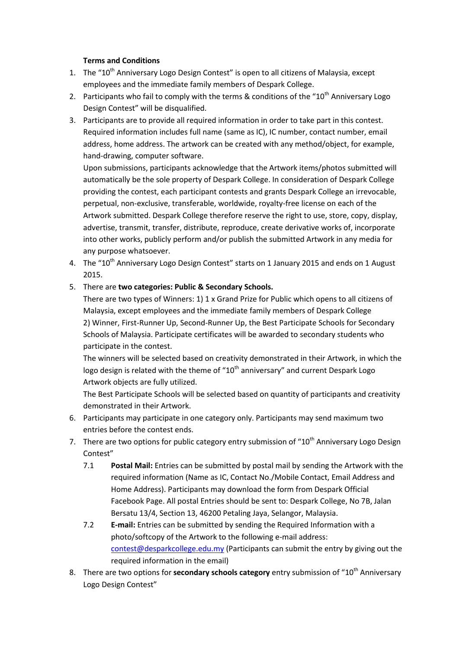## **Terms and Conditions**

- 1. The "10<sup>th</sup> Anniversary Logo Design Contest" is open to all citizens of Malaysia, except employees and the immediate family members of Despark College.
- 2. Participants who fail to comply with the terms & conditions of the " $10<sup>th</sup>$  Anniversary Logo Design Contest" will be disqualified.
- 3. Participants are to provide all required information in order to take part in this contest. Required information includes full name (same as IC), IC number, contact number, email address, home address. The artwork can be created with any method/object, for example, hand-drawing, computer software.

Upon submissions, participants acknowledge that the Artwork items/photos submitted will automatically be the sole property of Despark College. In consideration of Despark College providing the contest, each participant contests and grants Despark College an irrevocable, perpetual, non-exclusive, transferable, worldwide, royalty-free license on each of the Artwork submitted. Despark College therefore reserve the right to use, store, copy, display, advertise, transmit, transfer, distribute, reproduce, create derivative works of, incorporate into other works, publicly perform and/or publish the submitted Artwork in any media for any purpose whatsoever.

4. The "10<sup>th</sup> Anniversary Logo Design Contest" starts on 1 January 2015 and ends on 1 August 2015.

## 5. There are **two categories: Public & Secondary Schools.**

There are two types of Winners: 1) 1 x Grand Prize for Public which opens to all citizens of Malaysia, except employees and the immediate family members of Despark College 2) Winner, First-Runner Up, Second-Runner Up, the Best Participate Schools for Secondary Schools of Malaysia. Participate certificates will be awarded to secondary students who participate in the contest.

The winners will be selected based on creativity demonstrated in their Artwork, in which the logo design is related with the theme of " $10<sup>th</sup>$  anniversary" and current Despark Logo Artwork objects are fully utilized.

The Best Participate Schools will be selected based on quantity of participants and creativity demonstrated in their Artwork.

- 6. Participants may participate in one category only. Participants may send maximum two entries before the contest ends.
- 7. There are two options for public category entry submission of "10<sup>th</sup> Anniversary Logo Design Contest"
	- 7.1 **Postal Mail:** Entries can be submitted by postal mail by sending the Artwork with the required information (Name as IC, Contact No./Mobile Contact, Email Address and Home Address). Participants may download the form from Despark Official Facebook Page. All postal Entries should be sent to: Despark College, No 7B, Jalan Bersatu 13/4, Section 13, 46200 Petaling Jaya, Selangor, Malaysia.
	- 7.2 **E-mail:** Entries can be submitted by sending the Required Information with a photo/softcopy of the Artwork to the following e-mail address: [contest@desparkcollege.edu.my](mailto:contest@desparkcollege.edu.my) (Participants can submit the entry by giving out the required information in the email)
- 8. There are two options for **secondary schools category** entry submission of "10<sup>th</sup> Anniversary Logo Design Contest"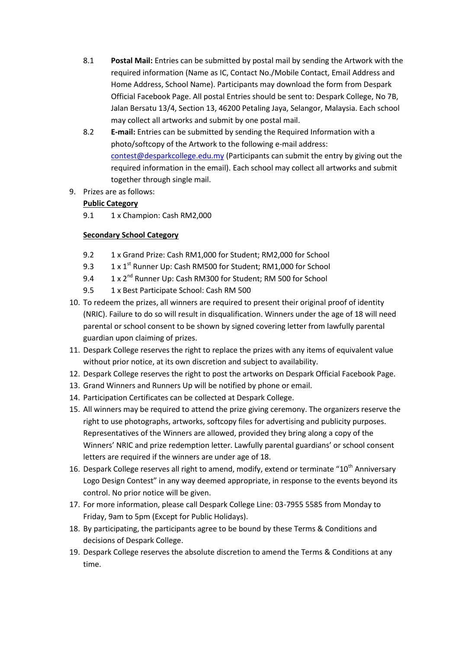- 8.1 **Postal Mail:** Entries can be submitted by postal mail by sending the Artwork with the required information (Name as IC, Contact No./Mobile Contact, Email Address and Home Address, School Name). Participants may download the form from Despark Official Facebook Page. All postal Entries should be sent to: Despark College, No 7B, Jalan Bersatu 13/4, Section 13, 46200 Petaling Jaya, Selangor, Malaysia. Each school may collect all artworks and submit by one postal mail.
- 8.2 **E-mail:** Entries can be submitted by sending the Required Information with a photo/softcopy of the Artwork to the following e-mail address: [contest@desparkcollege.edu.my](mailto:contest@desparkcollege.edu.my) (Participants can submit the entry by giving out the required information in the email). Each school may collect all artworks and submit together through single mail.
- 9. Prizes are as follows:

## **Public Category**

9.1 1 x Champion: Cash RM2,000

## **Secondary School Category**

- 9.2 1 x Grand Prize: Cash RM1,000 for Student; RM2,000 for School
- 9.3 1 x 1<sup>st</sup> Runner Up: Cash RM500 for Student; RM1,000 for School
- 9.4 1 x 2<sup>nd</sup> Runner Up: Cash RM300 for Student; RM 500 for School
- 9.5 1 x Best Participate School: Cash RM 500
- 10. To redeem the prizes, all winners are required to present their original proof of identity (NRIC). Failure to do so will result in disqualification. Winners under the age of 18 will need parental or school consent to be shown by signed covering letter from lawfully parental guardian upon claiming of prizes.
- 11. Despark College reserves the right to replace the prizes with any items of equivalent value without prior notice, at its own discretion and subject to availability.
- 12. Despark College reserves the right to post the artworks on Despark Official Facebook Page.
- 13. Grand Winners and Runners Up will be notified by phone or email.
- 14. Participation Certificates can be collected at Despark College.
- 15. All winners may be required to attend the prize giving ceremony. The organizers reserve the right to use photographs, artworks, softcopy files for advertising and publicity purposes. Representatives of the Winners are allowed, provided they bring along a copy of the Winners' NRIC and prize redemption letter. Lawfully parental guardians' or school consent letters are required if the winners are under age of 18.
- 16. Despark College reserves all right to amend, modify, extend or terminate "10<sup>th</sup> Anniversary Logo Design Contest" in any way deemed appropriate, in response to the events beyond its control. No prior notice will be given.
- 17. For more information, please call Despark College Line: 03-7955 5585 from Monday to Friday, 9am to 5pm (Except for Public Holidays).
- 18. By participating, the participants agree to be bound by these Terms & Conditions and decisions of Despark College.
- 19. Despark College reserves the absolute discretion to amend the Terms & Conditions at any time.